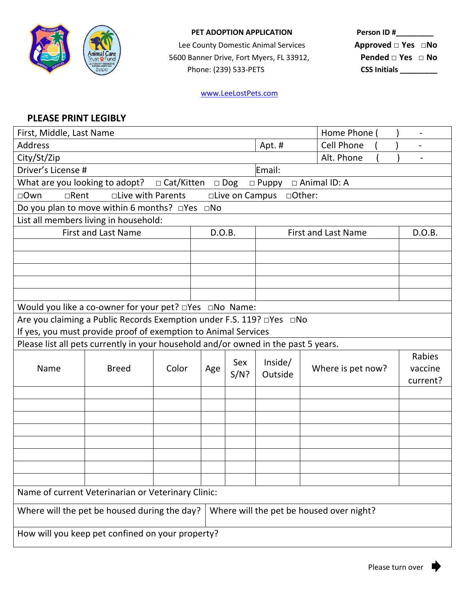

## **PET ADOPTION APPLICATION**

Lee County Domestic Animal Services **nimal Care**<br><u>Pust含Fund</u> / 5600 Banner Drive, Fort Myers, FL 33912, Phone: (239) 533-PETS

| Person ID #                 |  |
|-----------------------------|--|
| Approved □ Yes □No          |  |
| Pended $\Box$ Yes $\Box$ No |  |
| <b>CSS Initials</b>         |  |

## [www.LeeLostPets.com](http://www.leelostpets.com/)

## **PLEASE PRINT LEGIBLY**

| First, Middle, Last Name                                                                            |                                                                                    |       |        | Home Phone                 | $\overline{\phantom{a}}$ |                   |                               |  |
|-----------------------------------------------------------------------------------------------------|------------------------------------------------------------------------------------|-------|--------|----------------------------|--------------------------|-------------------|-------------------------------|--|
| <b>Address</b>                                                                                      |                                                                                    |       | Apt. # | <b>Cell Phone</b>          |                          |                   |                               |  |
| City/St/Zip<br>Alt. Phone                                                                           |                                                                                    |       |        |                            |                          |                   |                               |  |
| Driver's License #<br>Email:                                                                        |                                                                                    |       |        |                            |                          |                   |                               |  |
| What are you looking to adopt?<br>□ Cat/Kitten<br>$\Box$ Animal ID: A<br>$\Box$ Dog<br>$\Box$ Puppy |                                                                                    |       |        |                            |                          |                   |                               |  |
| $\Box$ Rent<br>□ Live with Parents<br>$\Box$ Own<br>□Live on Campus<br>□Other:                      |                                                                                    |       |        |                            |                          |                   |                               |  |
| Do you plan to move within 6 months? □Yes □No                                                       |                                                                                    |       |        |                            |                          |                   |                               |  |
| List all members living in household:                                                               |                                                                                    |       |        |                            |                          |                   |                               |  |
|                                                                                                     | <b>First and Last Name</b><br>D.O.B.                                               |       |        | <b>First and Last Name</b> | D.O.B.                   |                   |                               |  |
|                                                                                                     |                                                                                    |       |        |                            |                          |                   |                               |  |
|                                                                                                     |                                                                                    |       |        |                            |                          |                   |                               |  |
|                                                                                                     |                                                                                    |       |        |                            |                          |                   |                               |  |
|                                                                                                     |                                                                                    |       |        |                            |                          |                   |                               |  |
|                                                                                                     |                                                                                    |       |        |                            |                          |                   |                               |  |
| Would you like a co-owner for your pet? <b>That I allow</b> Name:                                   |                                                                                    |       |        |                            |                          |                   |                               |  |
| Are you claiming a Public Records Exemption under F.S. 119? □Yes □No                                |                                                                                    |       |        |                            |                          |                   |                               |  |
| If yes, you must provide proof of exemption to Animal Services                                      |                                                                                    |       |        |                            |                          |                   |                               |  |
|                                                                                                     | Please list all pets currently in your household and/or owned in the past 5 years. |       |        |                            |                          |                   |                               |  |
| Name                                                                                                | <b>Breed</b>                                                                       | Color | Age    | Sex<br>$S/N$ ?             | Inside/<br>Outside       | Where is pet now? | Rabies<br>vaccine<br>current? |  |
|                                                                                                     |                                                                                    |       |        |                            |                          |                   |                               |  |
|                                                                                                     |                                                                                    |       |        |                            |                          |                   |                               |  |
|                                                                                                     |                                                                                    |       |        |                            |                          |                   |                               |  |
|                                                                                                     |                                                                                    |       |        |                            |                          |                   |                               |  |
|                                                                                                     |                                                                                    |       |        |                            |                          |                   |                               |  |
|                                                                                                     |                                                                                    |       |        |                            |                          |                   |                               |  |
|                                                                                                     |                                                                                    |       |        |                            |                          |                   |                               |  |
|                                                                                                     |                                                                                    |       |        |                            |                          |                   |                               |  |
| Name of current Veterinarian or Veterinary Clinic:                                                  |                                                                                    |       |        |                            |                          |                   |                               |  |
| Where will the pet be housed during the day?<br>Where will the pet be housed over night?            |                                                                                    |       |        |                            |                          |                   |                               |  |
| How will you keep pet confined on your property?                                                    |                                                                                    |       |        |                            |                          |                   |                               |  |